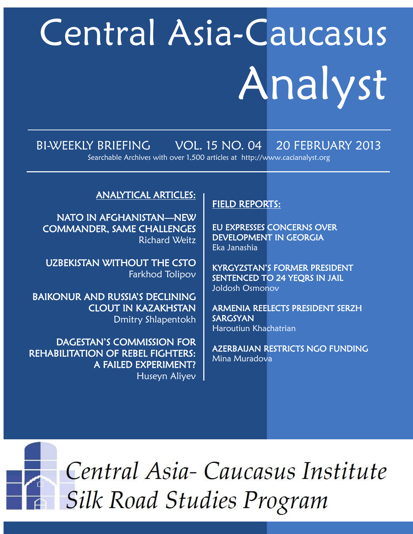# Central Asia-Caucasus Analyst

# BI-WEEKLY BRIEFING VOL. 15 NO. 04 20 FEBRUARY 2013

Searchable Archives with over 1,500 articles at http://www.cacianalyst.org

# ANALYTICAL ARTICLES:

NATO IN AFGHANISTAN—NEW COMMANDER, SAME CHALLENGES Richard Weitz

UZBEKISTAN WITHOUT THE CSTO Farkhod Tolipov

BAIKONUR AND RUSSIA'S DECLINING CLOUT IN KAZAKHSTAN Dmitry Shlapentokh

DAGESTAN'S COMMISSION FOR REHABILITATION OF REBEL FIGHTERS: A FAILED EXPERIMENT? Huseyn Aliyev

# FIELD REPORTS:

EU EXPRESSES CONCERNS OVER DEVELOPMENT IN GEORGIA Eka Janashia

KYRGYZSTAN'S FORMER PRESIDENT SENTENCED TO 24 YEQRS IN JAIL Joldosh Osmonov

ARMENIA REELECTS PRESIDENT SERZH SARGSYAN Haroutiun Khachatrian

AZERBAIJAN RESTRICTS NGO FUNDING Mina Muradova



Central Asia-Caucasus Institute **Silk Road Studies Program**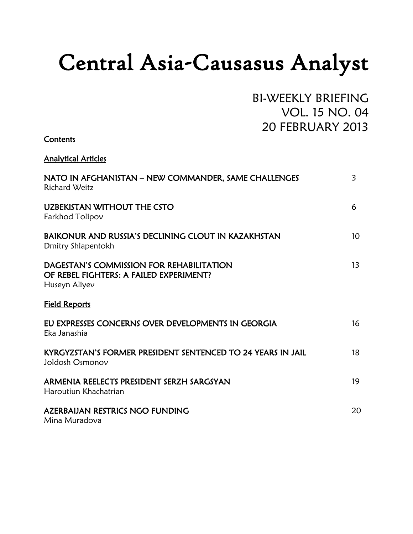# Central Asia-Causasus Analyst

BI-WEEKLY BRIEFING VOL. 15 NO. 04 20 FEBRUARY 2013

| Contents                                                                                             |                |
|------------------------------------------------------------------------------------------------------|----------------|
| <b>Analytical Articles</b>                                                                           |                |
| NATO IN AFGHANISTAN – NEW COMMANDER, SAME CHALLENGES<br><b>Richard Weitz</b>                         | $\overline{3}$ |
| <b>UZBEKISTAN WITHOUT THE CSTO</b><br>Farkhod Tolipov                                                | 6              |
| BAIKONUR AND RUSSIA'S DECLINING CLOUT IN KAZAKHSTAN<br>Dmitry Shlapentokh                            | 10             |
| DAGESTAN'S COMMISSION FOR REHABILITATION<br>OF REBEL FIGHTERS: A FAILED EXPERIMENT?<br>Huseyn Aliyev | 13             |
| <b>Field Reports</b>                                                                                 |                |
| EU EXPRESSES CONCERNS OVER DEVELOPMENTS IN GEORGIA<br>Eka Janashia                                   | 16             |
| KYRGYZSTAN'S FORMER PRESIDENT SENTENCED TO 24 YEARS IN JAIL<br>Joldosh Osmonov                       | 18             |
| ARMENIA REELECTS PRESIDENT SERZH SARGSYAN<br>Haroutiun Khachatrian                                   | 19             |
| <b>AZERBAIJAN RESTRICS NGO FUNDING</b><br>Mina Muradova                                              | 20             |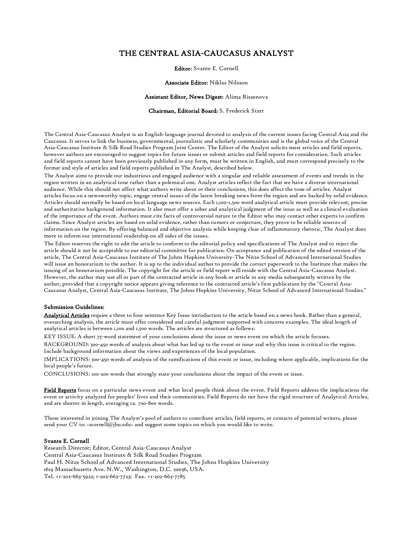#### THE CENTRAL ASIA-CAUCASUS ANALYST

Editor: Svante E. Cornell

#### Associate Editor: Niklas Nilsson

#### Assistant Editor, News Digest: Alima Bissenova

#### Chairman, Editorial Board: S. Frederick Starr

The Central Asia-Caucasus Analyst is an English-language journal devoted to analysis of the current issues facing Central Asia and the Caucasus. It serves to link the business, governmental, journalistic and scholarly communities and is the global voice of the Central Asia-Caucasus Institute & Silk Road Studies Program Joint Center. The Editor of the Analyst solicits most articles and field reports, however authors are encouraged to suggest topics for future issues or submit articles and field reports for consideration. Such articles and field reports cannot have been previously published in any form, must be written in English, and must correspond precisely to the format and style of articles and field reports published in The Analyst, described below.

The Analyst aims to provide our industrious and engaged audience with a singular and reliable assessment of events and trends in the region written in an analytical tone rather than a polemical one. Analyst articles reflect the fact that we have a diverse international audience. While this should not affect what authors write about or their conclusions, this does affect the tone of articles. Analyst articles focus on a newsworthy topic, engage central issues of the latest breaking news from the region and are backed by solid evidence. Articles should normally be based on local language news sources. Each 1,100-1,500 word analytical article must provide relevant, precise and authoritative background information. It also must offer a sober and analytical judgment of the issue as well as a clinical evaluation of the importance of the event. Authors must cite facts of controversial nature to the Editor who may contact other experts to confirm claims. Since Analyst articles are based on solid evidence, rather than rumors or conjecture, they prove to be reliable sources of information on the region. By offering balanced and objective analysis while keeping clear of inflammatory rhetoric, The Analyst does more to inform our international readership on all sides of the issues.

The Editor reserves the right to edit the article to conform to the editorial policy and specifications of The Analyst and to reject the article should it not be acceptable to our editorial committee for publication. On acceptance and publication of the edited version of the article, The Central Asia-Caucasus Institute of The Johns Hopkins University-The Nitze School of Advanced International Studies will issue an honorarium to the author. It is up to the individual author to provide the correct paperwork to the Institute that makes the issuing of an honorarium possible. The copyright for the article or field report will reside with the Central Asia-Caucasus Analyst. However, the author may use all or part of the contracted article in any book or article in any media subsequently written by the author, provided that a copyright notice appears giving reference to the contracted article's first publication by the "Central Asia-Caucasus Analyst, Central Asia-Caucasus Institute, The Johns Hopkins University, Nitze School of Advanced International Studies."

#### Submission Guidelines:

Analytical Articles require a three to four sentence Key Issue introduction to the article based on a news hook. Rather than a general, overarching analysis, the article must offer considered and careful judgment supported with concrete examples. The ideal length of analytical articles is between 1,100 and 1,500 words. The articles are structured as follows:

KEY ISSUE: A short 75-word statement of your conclusions about the issue or news event on which the article focuses.

BACKGROUND: 300-450 words of analysis about what has led up to the event or issue and why this issue is critical to the region. Include background information about the views and experiences of the local population.

IMPLICATIONS: 300-450 words of analysis of the ramifications of this event or issue, including where applicable, implications for the local people's future.

CONCLUSIONS: 100-200 words that strongly state your conclusions about the impact of the event or issue.

Field Reports focus on a particular news event and what local people think about the event. Field Reports address the implications the event or activity analyzed for peoples' lives and their communities. Field Reports do not have the rigid structure of Analytical Articles, and are shorter in length, averaging ca. 700-800 words.

Those interested in joining The Analyst's pool of authors to contribute articles, field reports, or contacts of potential writers, please send your CV to: <scornell@jhu.edu> and suggest some topics on which you would like to write.

#### Svante E. Cornell

Research Director; Editor, Central Asia-Caucasus Analyst Central Asia-Caucasus Institute & Silk Road Studies Program Paul H. Nitze School of Advanced International Studies, The Johns Hopkins University 1619 Massachusetts Ave. N.W., Washington, D.C. 20036, USA. Tel. +1-202-663-5922; 1-202-663-7723; Fax. +1-202-663-7785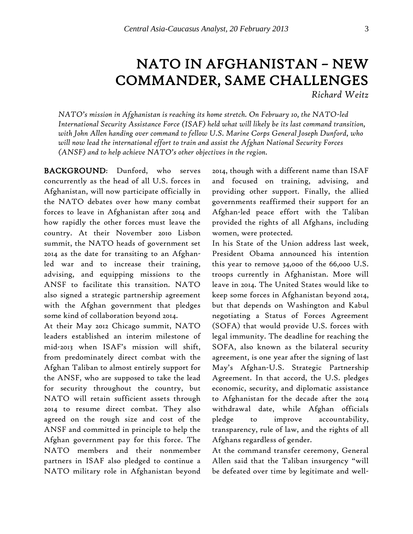# NATO IN AFGHANISTAN – NEW COMMANDER, SAME CHALLENGES *Richard Weitz*

*NATO's mission in Afghanistan is reaching its home stretch. On February 10, the NATO-led International Security Assistance Force (ISAF) held what will likely be its last command transition, with John Allen handing over command to fellow U.S. Marine Corps General Joseph Dunford, who will now lead the international effort to train and assist the Afghan National Security Forces (ANSF) and to help achieve NATO's other objectives in the region.* 

BACKGROUND: Dunford, who serves concurrently as the head of all U.S. forces in Afghanistan, will now participate officially in the NATO debates over how many combat forces to leave in Afghanistan after 2014 and how rapidly the other forces must leave the country. At their November 2010 Lisbon summit, the NATO heads of government set 2014 as the date for transiting to an Afghanled war and to increase their training, advising, and equipping missions to the ANSF to facilitate this transition. NATO also signed a strategic partnership agreement with the Afghan government that pledges some kind of collaboration beyond 2014.

At their May 2012 Chicago summit, NATO leaders established an interim milestone of mid-2013 when ISAF's mission will shift, from predominately direct combat with the Afghan Taliban to almost entirely support for the ANSF, who are supposed to take the lead for security throughout the country, but NATO will retain sufficient assets through 2014 to resume direct combat. They also agreed on the rough size and cost of the ANSF and committed in principle to help the Afghan government pay for this force. The NATO members and their nonmember partners in ISAF also pledged to continue a NATO military role in Afghanistan beyond 2014, though with a different name than ISAF and focused on training, advising, and providing other support. Finally, the allied governments reaffirmed their support for an Afghan-led peace effort with the Taliban provided the rights of all Afghans, including women, were protected.

In his State of the Union address last week, President Obama announced his intention this year to remove 34,000 of the 66,000 U.S. troops currently in Afghanistan. More will leave in 2014. The United States would like to keep some forces in Afghanistan beyond 2014, but that depends on Washington and Kabul negotiating a Status of Forces Agreement (SOFA) that would provide U.S. forces with legal immunity. The deadline for reaching the SOFA, also known as the bilateral security agreement, is one year after the signing of last May's Afghan-U.S. Strategic Partnership Agreement. In that accord, the U.S. pledges economic, security, and diplomatic assistance to Afghanistan for the decade after the 2014 withdrawal date, while Afghan officials pledge to improve accountability, transparency, rule of law, and the rights of all Afghans regardless of gender.

At the command transfer ceremony, General Allen said that the Taliban insurgency "will be defeated over time by legitimate and well-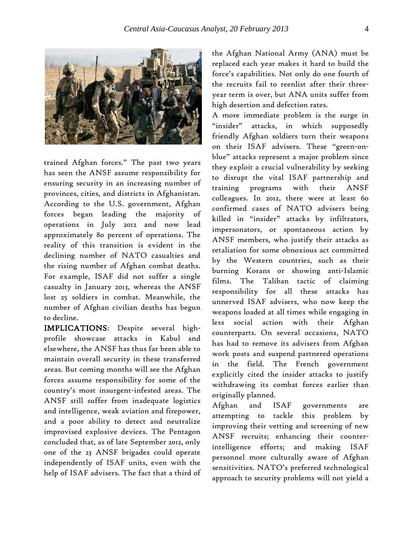

trained Afghan forces." The past two years has seen the ANSF assume responsibility for ensuring security in an increasing number of provinces, cities, and districts in Afghanistan. According to the U.S. government, Afghan forces began leading the majority of operations in July 2012 and now lead approximately 80 percent of operations. The reality of this transition is evident in the declining number of NATO casualties and the rising number of Afghan combat deaths. For example, ISAF did not suffer a single casualty in January 2013, whereas the ANSF lost 25 soldiers in combat. Meanwhile, the number of Afghan civilian deaths has begun to decline.

IMPLICATIONS: Despite several highprofile showcase attacks in Kabul and elsewhere, the ANSF has thus far been able to maintain overall security in these transferred areas. But coming months will see the Afghan forces assume responsibility for some of the country's most insurgent-infested areas. The ANSF still suffer from inadequate logistics and intelligence, weak aviation and firepower, and a poor ability to detect and neutralize improvised explosive devices. The Pentagon concluded that, as of late September 2012, only one of the 23 ANSF brigades could operate independently of ISAF units, even with the help of ISAF advisers. The fact that a third of

the Afghan National Army (ANA) must be replaced each year makes it hard to build the force's capabilities. Not only do one fourth of the recruits fail to reenlist after their threeyear term is over, but ANA units suffer from high desertion and defection rates.

A more immediate problem is the surge in "insider" attacks, in which supposedly friendly Afghan soldiers turn their weapons on their ISAF advisers. These "green-onblue" attacks represent a major problem since they exploit a crucial vulnerability by seeking to disrupt the vital ISAF partnership and training programs with their ANSF colleagues. In 2012, there were at least 60 confirmed cases of NATO advisers being killed in "insider" attacks by infiltrators, impersonators, or spontaneous action by ANSF members, who justify their attacks as retaliation for some obnoxious act committed by the Western countries, such as their burning Korans or showing anti-Islamic films. The Taliban tactic of claiming responsibility for all these attacks has unnerved ISAF advisers, who now keep the weapons loaded at all times while engaging in less social action with their Afghan counterparts. On several occasions, NATO has had to remove its advisers from Afghan work posts and suspend partnered operations in the field. The French government explicitly cited the insider attacks to justify withdrawing its combat forces earlier than originally planned.

Afghan and ISAF governments are attempting to tackle this problem by improving their vetting and screening of new ANSF recruits; enhancing their counterintelligence efforts; and making ISAF personnel more culturally aware of Afghan sensitivities. NATO's preferred technological approach to security problems will not yield a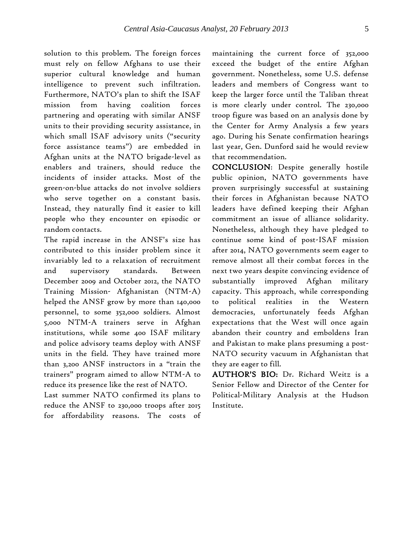solution to this problem. The foreign forces must rely on fellow Afghans to use their superior cultural knowledge and human intelligence to prevent such infiltration. Furthermore, NATO's plan to shift the ISAF mission from having coalition forces partnering and operating with similar ANSF units to their providing security assistance, in which small ISAF advisory units ("security force assistance teams") are embedded in Afghan units at the NATO brigade-level as enablers and trainers, should reduce the incidents of insider attacks. Most of the green-on-blue attacks do not involve soldiers who serve together on a constant basis. Instead, they naturally find it easier to kill people who they encounter on episodic or random contacts.

The rapid increase in the ANSF's size has contributed to this insider problem since it invariably led to a relaxation of recruitment and supervisory standards. Between December 2009 and October 2012, the NATO Training Mission- Afghanistan (NTM-A) helped the ANSF grow by more than 140,000 personnel, to some 352,000 soldiers. Almost 5,000 NTM-A trainers serve in Afghan institutions, while some 400 ISAF military and police advisory teams deploy with ANSF units in the field. They have trained more than 3,200 ANSF instructors in a "train the trainers" program aimed to allow NTM-A to reduce its presence like the rest of NATO.

Last summer NATO confirmed its plans to reduce the ANSF to 230,000 troops after 2015 for affordability reasons. The costs of maintaining the current force of 352,000 exceed the budget of the entire Afghan government. Nonetheless, some U.S. defense leaders and members of Congress want to keep the larger force until the Taliban threat is more clearly under control. The 230,000 troop figure was based on an analysis done by the Center for Army Analysis a few years ago. During his Senate confirmation hearings last year, Gen. Dunford said he would review that recommendation.

CONCLUSION: Despite generally hostile public opinion, NATO governments have proven surprisingly successful at sustaining their forces in Afghanistan because NATO leaders have defined keeping their Afghan commitment an issue of alliance solidarity. Nonetheless, although they have pledged to continue some kind of post-ISAF mission after 2014, NATO governments seem eager to remove almost all their combat forces in the next two years despite convincing evidence of substantially improved Afghan military capacity. This approach, while corresponding to political realities in the Western democracies, unfortunately feeds Afghan expectations that the West will once again abandon their country and emboldens Iran and Pakistan to make plans presuming a post-NATO security vacuum in Afghanistan that they are eager to fill.

AUTHOR'S BIO: Dr. Richard Weitz is a Senior Fellow and Director of the Center for Political-Military Analysis at the Hudson Institute.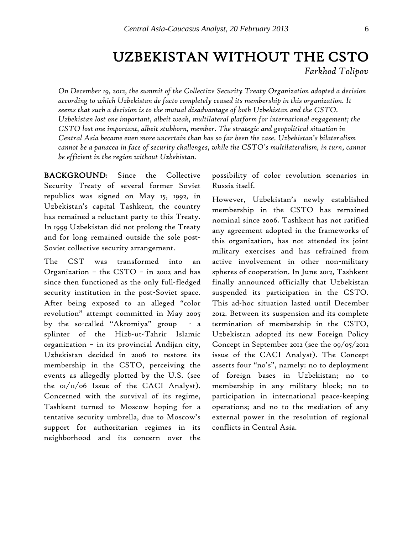# UZBEKISTAN WITHOUT THE CSTO *Farkhod Tolipov*

*On December 19, 2012, the summit of the Collective Security Treaty Organization adopted a decision according to which Uzbekistan de facto completely ceased its membership in this organization. It seems that such a decision is to the mutual disadvantage of both Uzbekistan and the CSTO. Uzbekistan lost one important, albeit weak, multilateral platform for international engagement; the CSTO lost one important, albeit stubborn, member. The strategic and geopolitical situation in Central Asia became even more uncertain than has so far been the case. Uzbekistan's bilateralism cannot be a panacea in face of security challenges, while the CSTO's multilateralism, in turn, cannot be efficient in the region without Uzbekistan.*

BACKGROUND: Since the Collective Security Treaty of several former Soviet republics was signed on May 15, 1992, in Uzbekistan's capital Tashkent, the country has remained a reluctant party to this Treaty. In 1999 Uzbekistan did not prolong the Treaty and for long remained outside the sole post-Soviet collective security arrangement.

The CST was transformed into an Organization – the CSTO – in 2002 and has since then functioned as the only full-fledged security institution in the post-Soviet space. After being exposed to an alleged "color revolution" attempt committed in May 2005 by the so-called "Akromiya" group - a splinter of the Hizb-ut-Tahrir Islamic organization – in its provincial Andijan city, Uzbekistan decided in 2006 to restore its membership in the CSTO, perceiving the events as allegedly plotted by the U.S. (see the  $oI/I/I/O6$  Issue of the CACI Analyst). Concerned with the survival of its regime, Tashkent turned to Moscow hoping for a tentative security umbrella, due to Moscow's support for authoritarian regimes in its neighborhood and its concern over the

possibility of color revolution scenarios in Russia itself.

However, Uzbekistan's newly established membership in the CSTO has remained nominal since 2006. Tashkent has not ratified any agreement adopted in the frameworks of this organization, has not attended its joint military exercises and has refrained from active involvement in other non-military spheres of cooperation. In June 2012, Tashkent finally announced officially that Uzbekistan suspended its participation in the CSTO. This ad-hoc situation lasted until December 2012. Between its suspension and its complete termination of membership in the CSTO, Uzbekistan adopted its new Foreign Policy Concept in September 2012 (see the [09/05/2012](http://cacianalyst.org/?q=node/5829)  [issue of the CACI Analyst\)](http://cacianalyst.org/?q=node/5829). The Concept asserts four "no's", namely: no to deployment of foreign bases in Uzbekistan; no to membership in any military block; no to participation in international peace-keeping operations; and no to the mediation of any external power in the resolution of regional conflicts in Central Asia.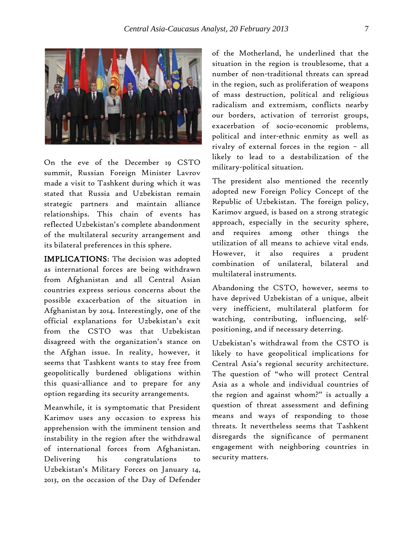

On the eve of the December 19 CSTO summit, Russian Foreign Minister Lavrov made a visit to Tashkent during which it was stated that Russia and Uzbekistan remain strategic partners and maintain alliance relationships. This chain of events has reflected Uzbekistan's complete abandonment of the multilateral security arrangement and its bilateral preferences in this sphere.

IMPLICATIONS: The decision was adopted as international forces are being withdrawn from Afghanistan and all Central Asian countries express serious concerns about the possible exacerbation of the situation in Afghanistan by 2014. Interestingly, one of the official explanations for Uzbekistan's exit from the CSTO was that Uzbekistan disagreed with the organization's stance on the Afghan issue. In reality, however, it seems that Tashkent wants to stay free from geopolitically burdened obligations within this quasi-alliance and to prepare for any option regarding its security arrangements.

Meanwhile, it is symptomatic that President Karimov uses any occasion to express his apprehension with the imminent tension and instability in the region after the withdrawal of international forces from Afghanistan. Delivering his congratulations to Uzbekistan's Military Forces on January 14, 2013, on the occasion of the Day of Defender

of the Motherland, he underlined that the situation in the region is troublesome, that a number of non-traditional threats can spread in the region, such as proliferation of weapons of mass destruction, political and religious radicalism and extremism, conflicts nearby our borders, activation of terrorist groups, exacerbation of socio-economic problems, political and inter-ethnic enmity as well as rivalry of external forces in the region – all likely to lead to a destabilization of the military-political situation.

The president also mentioned the recently adopted new Foreign Policy Concept of the Republic of Uzbekistan. The foreign policy, Karimov argued, is based on a strong strategic approach, especially in the security sphere, and requires among other things the utilization of all means to achieve vital ends. However, it also requires a prudent combination of unilateral, bilateral and multilateral instruments.

Abandoning the CSTO, however, seems to have deprived Uzbekistan of a unique, albeit very inefficient, multilateral platform for watching, contributing, influencing, selfpositioning, and if necessary deterring.

Uzbekistan's withdrawal from the CSTO is likely to have geopolitical implications for Central Asia's regional security architecture. The question of "who will protect Central Asia as a whole and individual countries of the region and against whom?" is actually a question of threat assessment and defining means and ways of responding to those threats. It nevertheless seems that Tashkent disregards the significance of permanent engagement with neighboring countries in security matters.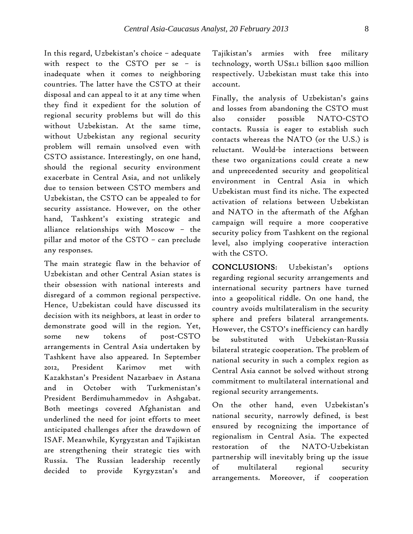In this regard, Uzbekistan's choice – adequate with respect to the CSTO per se – is inadequate when it comes to neighboring countries. The latter have the CSTO at their disposal and can appeal to it at any time when they find it expedient for the solution of regional security problems but will do this without Uzbekistan. At the same time, without Uzbekistan any regional security problem will remain unsolved even with CSTO assistance. Interestingly, on one hand, should the regional security environment exacerbate in Central Asia, and not unlikely due to tension between CSTO members and Uzbekistan, the CSTO can be appealed to for security assistance. However, on the other hand, Tashkent's existing strategic and alliance relationships with Moscow – the pillar and motor of the CSTO – can preclude any responses.

The main strategic flaw in the behavior of Uzbekistan and other Central Asian states is their obsession with national interests and disregard of a common regional perspective. Hence, Uzbekistan could have discussed its decision with its neighbors, at least in order to demonstrate good will in the region. Yet, some new tokens of post-CSTO arrangements in Central Asia undertaken by Tashkent have also appeared. In September 2012, President Karimov met with Kazakhstan's President Nazarbaev in Astana and in October with Turkmenistan's President Berdimuhammedov in Ashgabat. Both meetings covered Afghanistan and underlined the need for joint efforts to meet anticipated challenges after the drawdown of ISAF. Meanwhile, Kyrgyzstan and Tajikistan are strengthening their strategic ties with Russia. The Russian leadership recently decided to provide Kyrgyzstan's and Tajikistan's armies with free military technology, worth US\$1.1 billion \$400 million respectively. Uzbekistan must take this into account.

Finally, the analysis of Uzbekistan's gains and losses from abandoning the CSTO must also consider possible NATO-CSTO contacts. Russia is eager to establish such contacts whereas the NATO (or the U.S.) is reluctant. Would-be interactions between these two organizations could create a new and unprecedented security and geopolitical environment in Central Asia in which Uzbekistan must find its niche. The expected activation of relations between Uzbekistan and NATO in the aftermath of the Afghan campaign will require a more cooperative security policy from Tashkent on the regional level, also implying cooperative interaction with the CSTO.

CONCLUSIONS: Uzbekistan's options regarding regional security arrangements and international security partners have turned into a geopolitical riddle. On one hand, the country avoids multilateralism in the security sphere and prefers bilateral arrangements. However, the CSTO's inefficiency can hardly be substituted with Uzbekistan-Russia bilateral strategic cooperation. The problem of national security in such a complex region as Central Asia cannot be solved without strong commitment to multilateral international and regional security arrangements.

On the other hand, even Uzbekistan's national security, narrowly defined, is best ensured by recognizing the importance of regionalism in Central Asia. The expected restoration of the NATO-Uzbekistan partnership will inevitably bring up the issue of multilateral regional security arrangements. Moreover, if cooperation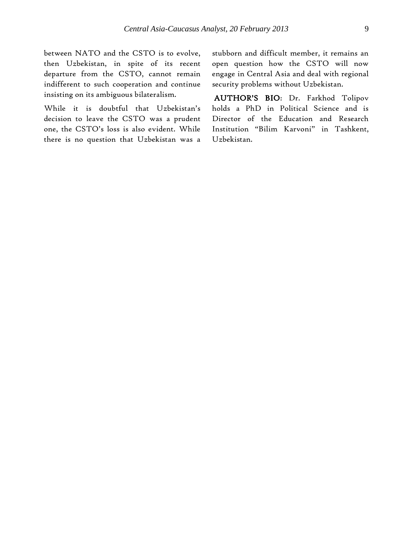between NATO and the CSTO is to evolve, then Uzbekistan, in spite of its recent departure from the CSTO, cannot remain indifferent to such cooperation and continue insisting on its ambiguous bilateralism.

While it is doubtful that Uzbekistan's decision to leave the CSTO was a prudent one, the CSTO's loss is also evident. While there is no question that Uzbekistan was a stubborn and difficult member, it remains an open question how the CSTO will now engage in Central Asia and deal with regional security problems without Uzbekistan.

AUTHOR'S BIO: Dr. Farkhod Tolipov holds a PhD in Political Science and is Director of the Education and Research Institution "Bilim Karvoni" in Tashkent, Uzbekistan.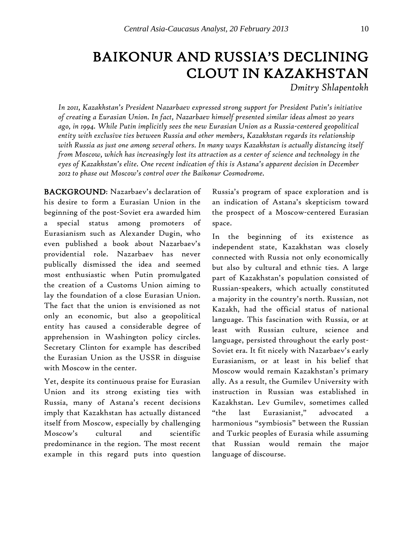# BAIKONUR AND RUSSIA'S DECLINING CLOUT IN KAZAKHSTAN

*Dmitry Shlapentokh*

*In 2011, Kazakhstan's President Nazarbaev expressed strong support for President Putin's initiative of creating a Eurasian Union. In fact, Nazarbaev himself presented similar ideas almost 20 years ago, in 1994. While Putin implicitly sees the new Eurasian Union as a Russia-centered geopolitical entity with exclusive ties between Russia and other members, Kazakhstan regards its relationship with Russia as just one among several others. In many ways Kazakhstan is actually distancing itself from Moscow, which has increasingly lost its attraction as a center of science and technology in the eyes of Kazakhstan's elite. One recent indication of this is Astana's apparent decision in December 2012 to phase out Moscow's control over the Baikonur Cosmodrome.* 

BACKGROUND: Nazarbaev's declaration of his desire to form a Eurasian Union in the beginning of the post-Soviet era awarded him a special status among promoters of Eurasianism such as Alexander Dugin, who even published a book about Nazarbaev's providential role. Nazarbaev has never publically dismissed the idea and seemed most enthusiastic when Putin promulgated the creation of a Customs Union aiming to lay the foundation of a close Eurasian Union. The fact that the union is envisioned as not only an economic, but also a geopolitical entity has caused a considerable degree of apprehension in Washington policy circles. Secretary Clinton for example has described the Eurasian Union as the USSR in disguise with Moscow in the center.

Yet, despite its continuous praise for Eurasian Union and its strong existing ties with Russia, many of Astana's recent decisions imply that Kazakhstan has actually distanced itself from Moscow, especially by challenging Moscow's cultural and scientific predominance in the region. The most recent example in this regard puts into question Russia's program of space exploration and is an indication of Astana's skepticism toward the prospect of a Moscow-centered Eurasian space.

In the beginning of its existence as independent state, Kazakhstan was closely connected with Russia not only economically but also by cultural and ethnic ties. A large part of Kazakhstan's population consisted of Russian-speakers, which actually constituted a majority in the country's north. Russian, not Kazakh, had the official status of national language. This fascination with Russia, or at least with Russian culture, science and language, persisted throughout the early post-Soviet era. It fit nicely with Nazarbaev's early Eurasianism, or at least in his belief that Moscow would remain Kazakhstan's primary ally. As a result, the Gumilev University with instruction in Russian was established in Kazakhstan. Lev Gumilev, sometimes called "the last Eurasianist," advocated harmonious "symbiosis" between the Russian and Turkic peoples of Eurasia while assuming that Russian would remain the major language of discourse.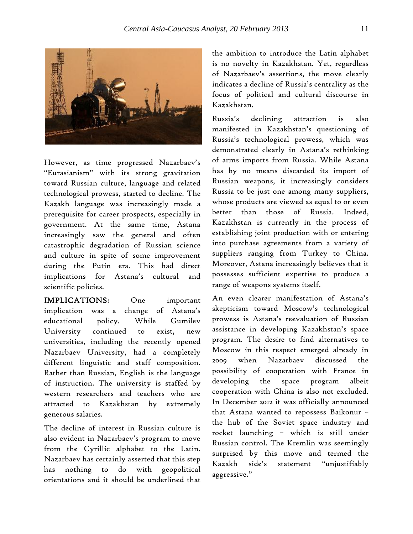

However, as time progressed Nazarbaev's "Eurasianism" with its strong gravitation toward Russian culture, language and related technological prowess, started to decline. The Kazakh language was increasingly made a prerequisite for career prospects, especially in government. At the same time, Astana increasingly saw the general and often catastrophic degradation of Russian science and culture in spite of some improvement during the Putin era. This had direct implications for Astana's cultural and scientific policies.

IMPLICATIONS: One important implication was a change of Astana's educational policy. While Gumilev University continued to exist, new universities, including the recently opened Nazarbaev University, had a completely different linguistic and staff composition. Rather than Russian, English is the language of instruction. The university is staffed by western researchers and teachers who are attracted to Kazakhstan by extremely generous salaries.

The decline of interest in Russian culture is also evident in Nazarbaev's program to move from the Cyrillic alphabet to the Latin. Nazarbaev has certainly asserted that this step has nothing to do with geopolitical orientations and it should be underlined that

the ambition to introduce the Latin alphabet is no novelty in Kazakhstan. Yet, regardless of Nazarbaev's assertions, the move clearly indicates a decline of Russia's centrality as the focus of political and cultural discourse in Kazakhstan.

Russia's declining attraction is also manifested in Kazakhstan's questioning of Russia's technological prowess, which was demonstrated clearly in Astana's rethinking of arms imports from Russia. While Astana has by no means discarded its import of Russian weapons, it increasingly considers Russia to be just one among many suppliers, whose products are viewed as equal to or even better than those of Russia. Indeed, Kazakhstan is currently in the process of establishing joint production with or entering into purchase agreements from a variety of suppliers ranging from Turkey to China. Moreover, Astana increasingly believes that it possesses sufficient expertise to produce a range of weapons systems itself.

An even clearer manifestation of Astana's skepticism toward Moscow's technological prowess is Astana's reevaluation of Russian assistance in developing Kazakhstan's space program. The desire to find alternatives to Moscow in this respect emerged already in 2009 when Nazarbaev discussed the possibility of cooperation with France in developing the space program albeit cooperation with China is also not excluded. In December 2012 it was officially announced that Astana wanted to repossess Baikonur – the hub of the Soviet space industry and rocket launching – which is still under Russian control. The Kremlin was seemingly surprised by this move and termed the Kazakh side's statement "unjustifiably aggressive."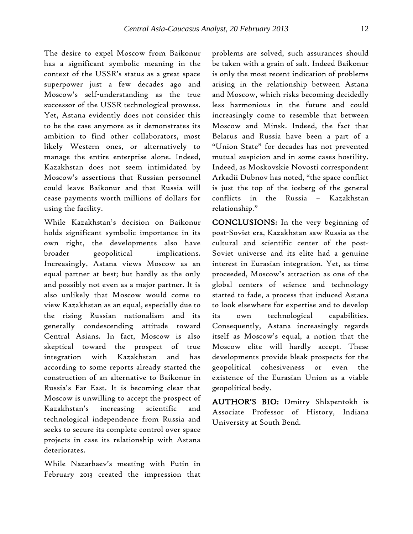The desire to expel Moscow from Baikonur has a significant symbolic meaning in the context of the USSR's status as a great space superpower just a few decades ago and Moscow's self-understanding as the true successor of the USSR technological prowess. Yet, Astana evidently does not consider this to be the case anymore as it demonstrates its ambition to find other collaborators, most likely Western ones, or alternatively to manage the entire enterprise alone. Indeed, Kazakhstan does not seem intimidated by Moscow's assertions that Russian personnel could leave Baikonur and that Russia will cease payments worth millions of dollars for using the facility.

While Kazakhstan's decision on Baikonur holds significant symbolic importance in its own right, the developments also have broader geopolitical implications. Increasingly, Astana views Moscow as an equal partner at best; but hardly as the only and possibly not even as a major partner. It is also unlikely that Moscow would come to view Kazakhstan as an equal, especially due to the rising Russian nationalism and its generally condescending attitude toward Central Asians. In fact, Moscow is also skeptical toward the prospect of true integration with Kazakhstan and has according to some reports already started the construction of an alternative to Baikonur in Russia's Far East. It is becoming clear that Moscow is unwilling to accept the prospect of Kazakhstan's increasing scientific and technological independence from Russia and seeks to secure its complete control over space projects in case its relationship with Astana deteriorates.

While Nazarbaev's meeting with Putin in February 2013 created the impression that

problems are solved, such assurances should be taken with a grain of salt. Indeed Baikonur is only the most recent indication of problems arising in the relationship between Astana and Moscow, which risks becoming decidedly less harmonious in the future and could increasingly come to resemble that between Moscow and Minsk. Indeed, the fact that Belarus and Russia have been a part of a "Union State" for decades has not prevented mutual suspicion and in some cases hostility. Indeed, as Moskovskie Novosti correspondent Arkadii Dubnov has noted, "the space conflict is just the top of the iceberg of the general conflicts in the Russia – Kazakhstan relationship."

CONCLUSIONS: In the very beginning of post-Soviet era, Kazakhstan saw Russia as the cultural and scientific center of the post-Soviet universe and its elite had a genuine interest in Eurasian integration. Yet, as time proceeded, Moscow's attraction as one of the global centers of science and technology started to fade, a process that induced Astana to look elsewhere for expertise and to develop its own technological capabilities. Consequently, Astana increasingly regards itself as Moscow's equal, a notion that the Moscow elite will hardly accept. These developments provide bleak prospects for the geopolitical cohesiveness or even the existence of the Eurasian Union as a viable geopolitical body.

AUTHOR'S BIO: Dmitry Shlapentokh is Associate Professor of History, Indiana University at South Bend.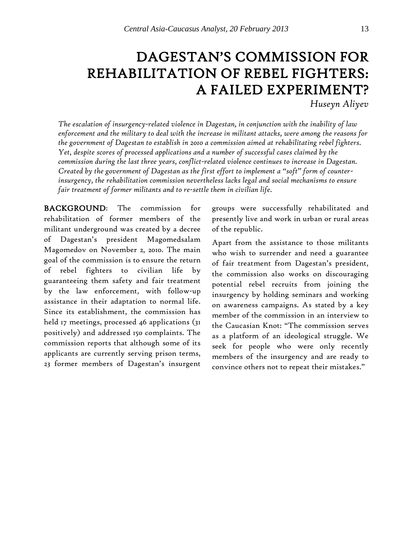# DAGESTAN'S COMMISSION FOR REHABILITATION OF REBEL FIGHTERS: A FAILED EXPERIMENT?

*Huseyn Aliyev*

*The escalation of insurgency-related violence in Dagestan, in conjunction with the inability of law enforcement and the military to deal with the increase in militant attacks, were among the reasons for the government of Dagestan to establish in 2010 a commission aimed at rehabilitating rebel fighters. Yet, despite scores of processed applications and a number of successful cases claimed by the commission during the last three years, conflict-related violence continues to increase in Dagestan. Created by the government of Dagestan as the first effort to implement a "soft" form of counterinsurgency, the rehabilitation commission nevertheless lacks legal and social mechanisms to ensure fair treatment of former militants and to re-settle them in civilian life.*

BACKGROUND: The commission for rehabilitation of former members of the militant underground was created by a decree of Dagestan's president Magomedsalam Magomedov on November 2, 2010. The main goal of the commission is to ensure the return of rebel fighters to civilian life by guaranteeing them safety and fair treatment by the law enforcement, with follow-up assistance in their adaptation to normal life. Since its establishment, the commission has held 17 meetings, processed 46 applications (31 positively) and addressed 150 complaints. The commission reports that although some of its applicants are currently serving prison terms, 23 former members of Dagestan's insurgent

groups were successfully rehabilitated and presently live and work in urban or rural areas of the republic.

Apart from the assistance to those militants who wish to surrender and need a guarantee of fair treatment from Dagestan's president, the commission also works on discouraging potential rebel recruits from joining the insurgency by holding seminars and working on awareness campaigns. As stated by a key member of the commission in an interview to the Caucasian Knot: "The commission serves as a platform of an ideological struggle. We seek for people who were only recently members of the insurgency and are ready to convince others not to repeat their mistakes."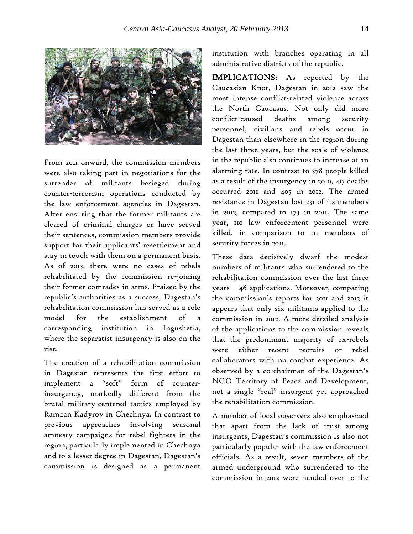

From 2011 onward, the commission members were also taking part in negotiations for the surrender of militants besieged during counter-terrorism operations conducted by the law enforcement agencies in Dagestan. After ensuring that the former militants are cleared of criminal charges or have served their sentences, commission members provide support for their applicants' resettlement and stay in touch with them on a permanent basis. As of 2013, there were no cases of rebels rehabilitated by the commission re-joining their former comrades in arms. Praised by the republic's authorities as a success, Dagestan's rehabilitation commission has served as a role model for the establishment of a corresponding institution in Ingushetia, where the separatist insurgency is also on the rise.

The creation of a rehabilitation commission in Dagestan represents the first effort to implement a "soft" form of counterinsurgency, markedly different from the brutal military-centered tactics employed by Ramzan Kadyrov in Chechnya. In contrast to previous approaches involving seasonal amnesty campaigns for rebel fighters in the region, particularly implemented in Chechnya and to a lesser degree in Dagestan, Dagestan's commission is designed as a permanent

institution with branches operating in all administrative districts of the republic.

IMPLICATIONS: As reported by the Caucasian Knot, Dagestan in 2012 saw the most intense conflict-related violence across the North Caucasus. Not only did more conflict-caused deaths among security personnel, civilians and rebels occur in Dagestan than elsewhere in the region during the last three years, but the scale of violence in the republic also continues to increase at an alarming rate. In contrast to 378 people killed as a result of the insurgency in 2010, 413 deaths occurred 2011 and 405 in 2012. The armed resistance in Dagestan lost 231 of its members in 2012, compared to 173 in 2011. The same year, 110 law enforcement personnel were killed, in comparison to 111 members of security forces in 2011.

These data decisively dwarf the modest numbers of militants who surrendered to the rehabilitation commission over the last three years – 46 applications. Moreover, comparing the commission's reports for 2011 and 2012 it appears that only six militants applied to the commission in 2012. A more detailed analysis of the applications to the commission reveals that the predominant majority of ex-rebels were either recent recruits or rebel collaborators with no combat experience. As observed by a co-chairman of the Dagestan's NGO Territory of Peace and Development, not a single "real" insurgent yet approached the rehabilitation commission.

A number of local observers also emphasized that apart from the lack of trust among insurgents, Dagestan's commission is also not particularly popular with the law enforcement officials. As a result, seven members of the armed underground who surrendered to the commission in 2012 were handed over to the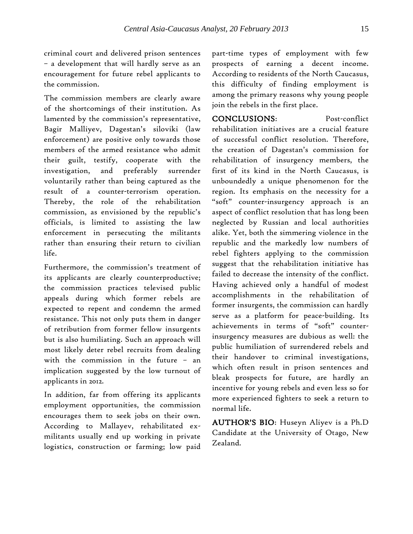criminal court and delivered prison sentences – a development that will hardly serve as an encouragement for future rebel applicants to the commission.

The commission members are clearly aware of the shortcomings of their institution. As lamented by the commission's representative, Bagir Malliyev, Dagestan's siloviki (law enforcement) are positive only towards those members of the armed resistance who admit their guilt, testify, cooperate with the investigation, and preferably surrender voluntarily rather than being captured as the result of a counter-terrorism operation. Thereby, the role of the rehabilitation commission, as envisioned by the republic's officials, is limited to assisting the law enforcement in persecuting the militants rather than ensuring their return to civilian life.

Furthermore, the commission's treatment of its applicants are clearly counterproductive; the commission practices televised public appeals during which former rebels are expected to repent and condemn the armed resistance. This not only puts them in danger of retribution from former fellow insurgents but is also humiliating. Such an approach will most likely deter rebel recruits from dealing with the commission in the future – an implication suggested by the low turnout of applicants in 2012.

In addition, far from offering its applicants employment opportunities, the commission encourages them to seek jobs on their own. According to Mallayev, rehabilitated exmilitants usually end up working in private logistics, construction or farming; low paid

part-time types of employment with few prospects of earning a decent income. According to residents of the North Caucasus, this difficulty of finding employment is among the primary reasons why young people join the rebels in the first place.

CONCLUSIONS: Post-conflict rehabilitation initiatives are a crucial feature of successful conflict resolution. Therefore, the creation of Dagestan's commission for rehabilitation of insurgency members, the first of its kind in the North Caucasus, is unboundedly a unique phenomenon for the region. Its emphasis on the necessity for a "soft" counter-insurgency approach is an aspect of conflict resolution that has long been neglected by Russian and local authorities alike. Yet, both the simmering violence in the republic and the markedly low numbers of rebel fighters applying to the commission suggest that the rehabilitation initiative has failed to decrease the intensity of the conflict. Having achieved only a handful of modest accomplishments in the rehabilitation of former insurgents, the commission can hardly serve as a platform for peace-building. Its achievements in terms of "soft" counterinsurgency measures are dubious as well: the public humiliation of surrendered rebels and their handover to criminal investigations, which often result in prison sentences and bleak prospects for future, are hardly an incentive for young rebels and even less so for more experienced fighters to seek a return to normal life.

AUTHOR'S BIO: Huseyn Aliyev is a Ph.D Candidate at the University of Otago, New Zealand.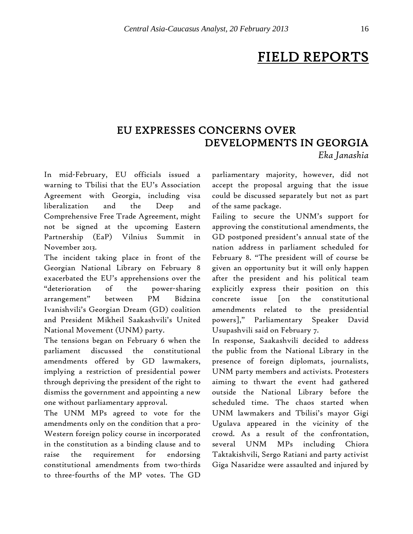# FIELD REPORTS

## EU EXPRESSES CONCERNS OVER DEVELOPMENTS IN GEORGIA *Eka Janashia*

In mid-February, EU officials issued a warning to Tbilisi that the EU's Association Agreement with Georgia, including visa liberalization and the Deep and Comprehensive Free Trade Agreement, might not be signed at the upcoming Eastern Partnership (EaP) Vilnius Summit in November 2013.

The incident taking place in front of the Georgian National Library on February 8 exacerbated the EU's apprehensions over the "deterioration of the power-sharing arrangement" between PM Bidzina Ivanishvili's Georgian Dream (GD) coalition and President Mikheil Saakashvili's United National Movement (UNM) party.

The tensions began on February 6 when the parliament discussed the constitutional amendments offered by GD lawmakers, implying a restriction of presidential power through depriving the president of the right to dismiss the government and appointing a new one without parliamentary approval.

The UNM MPs agreed to vote for the amendments only on the condition that a pro-Western foreign policy course in incorporated in the constitution as a binding clause and to raise the requirement for endorsing constitutional amendments from two-thirds to three-fourths of the MP votes. The GD

parliamentary majority, however, did not accept the proposal arguing that the issue could be discussed separately but not as part of the same package.

Failing to secure the UNM's support for approving the constitutional amendments, the GD postponed president's annual state of the nation address in parliament scheduled for February 8. "The president will of course be given an opportunity but it will only happen after the president and his political team explicitly express their position on this concrete issue [on the constitutional amendments related to the presidential powers]," Parliamentary Speaker David Usupashvili said on February 7.

In response, Saakashvili decided to address the public from the National Library in the presence of foreign diplomats, journalists, UNM party members and activists. Protesters aiming to thwart the event had gathered outside the National Library before the scheduled time. The chaos started when UNM lawmakers and Tbilisi's mayor Gigi Ugulava appeared in the vicinity of the crowd. As a result of the confrontation, several UNM MPs including Chiora Taktakishvili, Sergo Ratiani and party activist Giga Nasaridze were assaulted and injured by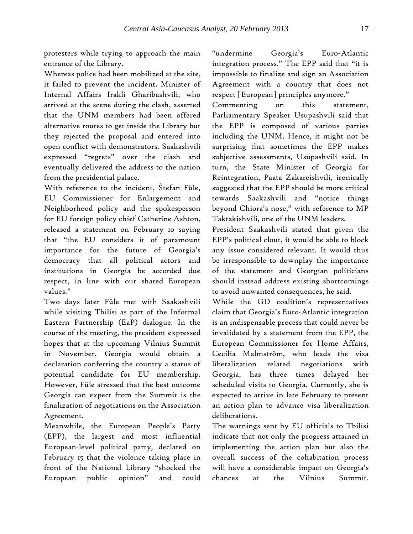protesters while trying to approach the main entrance of the Library.

Whereas police had been mobilized at the site, it failed to prevent the incident. Minister of Internal Affairs Irakli Gharibashvili, who arrived at the scene during the clash, asserted that the UNM members had been offered alternative routes to get inside the Library but they rejected the proposal and entered into open conflict with demonstrators. Saakashvili expressed "regrets" over the clash and eventually delivered the address to the nation from the presidential palace.

With reference to the incident, Štefan Füle, EU Commissioner for Enlargement and Neighborhood policy and the spokesperson for EU foreign policy chief Catherine Ashton, released a statement on February 10 saying that "the EU considers it of paramount importance for the future of Georgia's democracy that all political actors and institutions in Georgia be accorded due respect, in line with our shared European values."

Two days later Füle met with Saakashvili while visiting Tbilisi as part of the Informal Eastern Partnership (EaP) dialogue. In the course of the meeting, the president expressed hopes that at the upcoming Vilnius Summit in November, Georgia would obtain a declaration conferring the country a status of potential candidate for EU membership. However, Füle stressed that the best outcome Georgia can expect from the Summit is the finalization of negotiations on the Association Agreement.

Meanwhile, the European People's Party (EPP), the largest and most influential European-level political party, declared on February 15 that the violence taking place in front of the National Library "shocked the European public opinion" and could "undermine Georgia's Euro-Atlantic integration process." The EPP said that "it is impossible to finalize and sign an Association Agreement with a country that does not respect [European] principles anymore."

Commenting on this statement, Parliamentary Speaker Usupashvili said that the EPP is composed of various parties including the UNM. Hence, it might not be surprising that sometimes the EPP makes subjective assessments, Usupashvili said. In turn, the State Minister of Georgia for Reintegration, Paata Zakareishvili, ironically suggested that the EPP should be more critical towards Saakashvili and "notice things beyond Chiora's nose," with reference to MP Taktakishvili, one of the UNM leaders.

President Saakashvili stated that given the EPP's political clout, it would be able to block any issue considered relevant. It would thus be irresponsible to downplay the importance of the statement and Georgian politicians should instead address existing shortcomings to avoid unwanted consequences, he said.

While the GD coalition's representatives claim that Georgia's Euro-Atlantic integration is an indispensable process that could never be invalidated by a statement from the EPP, the European Commissioner for Home Affairs, Cecilia Malmström, who leads the visa liberalization related negotiations with Georgia, has three times delayed her scheduled visits to Georgia. Currently, she is expected to arrive in late February to present an action plan to advance visa liberalization deliberations.

The warnings sent by EU officials to Tbilisi indicate that not only the progress attained in implementing the action plan but also the overall success of the cohabitation process will have a considerable impact on Georgia's chances at the Vilnius Summit.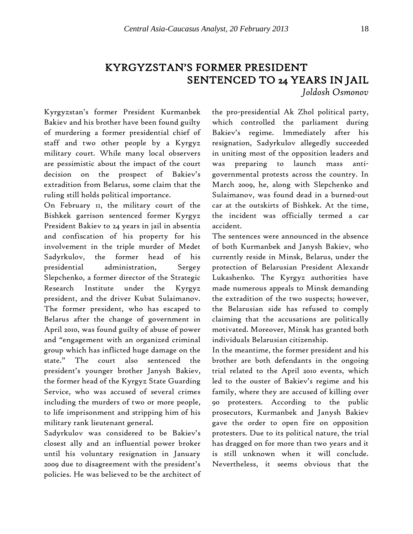# KYRGYZSTAN'S FORMER PRESIDENT SENTENCED TO 24 YEARS IN JAIL

*Joldosh Osmonov*

Kyrgyzstan's former President Kurmanbek Bakiev and his brother have been found guilty of murdering a former presidential chief of staff and two other people by a Kyrgyz military court. While many local observers are pessimistic about the impact of the court decision on the prospect of Bakiev's extradition from Belarus, some claim that the ruling still holds political importance.

On February 11, the military court of the Bishkek garrison sentenced former Kyrgyz President Bakiev to 24 years in jail in absentia and confiscation of his property for his involvement in the triple murder of Medet Sadyrkulov, the former head of his presidential administration, Sergey Slepchenko, a former director of the Strategic Research Institute under the Kyrgyz president, and the driver Kubat Sulaimanov. The former president, who has escaped to Belarus after the change of government in April 2010, was found guilty of abuse of power and "engagement with an organized criminal group which has inflicted huge damage on the state." The court also sentenced the president's younger brother Janysh Bakiev, the former head of the Kyrgyz State Guarding Service, who was accused of several crimes including the murders of two or more people, to life imprisonment and stripping him of his military rank lieutenant general.

Sadyrkulov was considered to be Bakiev's closest ally and an influential power broker until his voluntary resignation in January 2009 due to disagreement with the president's policies. He was believed to be the architect of the pro-presidential Ak Zhol political party, which controlled the parliament during Bakiev's regime. Immediately after his resignation, Sadyrkulov allegedly succeeded in uniting most of the opposition leaders and was preparing to launch mass antigovernmental protests across the country. In March 2009, he, along with Slepchenko and Sulaimanov, was found dead in a burned-out car at the outskirts of Bishkek. At the time, the incident was officially termed a car accident.

The sentences were announced in the absence of both Kurmanbek and Janysh Bakiev, who currently reside in Minsk, Belarus, under the protection of Belarusian President Alexandr Lukashenko. The Kyrgyz authorities have made numerous appeals to Minsk demanding the extradition of the two suspects; however, the Belarusian side has refused to comply claiming that the accusations are politically motivated. Moreover, Minsk has granted both individuals Belarusian citizenship.

In the meantime, the former president and his brother are both defendants in the ongoing trial related to the April 2010 events, which led to the ouster of Bakiev's regime and his family, where they are accused of killing over 90 protesters. According to the public prosecutors, Kurmanbek and Janysh Bakiev gave the order to open fire on opposition protesters. Due to its political nature, the trial has dragged on for more than two years and it is still unknown when it will conclude. Nevertheless, it seems obvious that the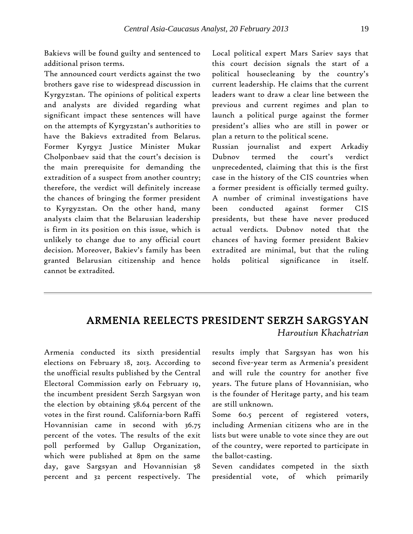Bakievs will be found guilty and sentenced to additional prison terms.

The announced court verdicts against the two brothers gave rise to widespread discussion in Kyrgyzstan. The opinions of political experts and analysts are divided regarding what significant impact these sentences will have on the attempts of Kyrgyzstan's authorities to have the Bakievs extradited from Belarus. Former Kyrgyz Justice Minister Mukar Cholponbaev said that the court's decision is the main prerequisite for demanding the extradition of a suspect from another country; therefore, the verdict will definitely increase the chances of bringing the former president to Kyrgyzstan. On the other hand, many analysts claim that the Belarusian leadership is firm in its position on this issue, which is unlikely to change due to any official court decision. Moreover, Bakiev's family has been granted Belarusian citizenship and hence cannot be extradited.

Local political expert Mars Sariev says that this court decision signals the start of a political housecleaning by the country's current leadership. He claims that the current leaders want to draw a clear line between the previous and current regimes and plan to launch a political purge against the former president's allies who are still in power or plan a return to the political scene.

Russian journalist and expert Arkadiy Dubnov termed the court's verdict unprecedented, claiming that this is the first case in the history of the CIS countries when a former president is officially termed guilty. A number of criminal investigations have been conducted against former CIS presidents, but these have never produced actual verdicts. Dubnov noted that the chances of having former president Bakiev extradited are minimal, but that the ruling holds political significance in itself.

### ARMENIA REELECTS PRESIDENT SERZH SARGSYAN *Haroutiun Khachatrian*

Armenia conducted its sixth presidential elections on February 18, 2013. According to the unofficial results published by the Central Electoral Commission early on February 19, the incumbent president Serzh Sargsyan won the election by obtaining 58.64 percent of the votes in the first round. California-born Raffi Hovannisian came in second with 36.75 percent of the votes. The results of the exit poll performed by Gallup Organization, which were published at 8pm on the same day, gave Sargsyan and Hovannisian 58 percent and 32 percent respectively. The

results imply that Sargsyan has won his second five-year term as Armenia's president and will rule the country for another five years. The future plans of Hovannisian, who is the founder of Heritage party, and his team are still unknown.

Some 60.5 percent of registered voters, including Armenian citizens who are in the lists but were unable to vote since they are out of the country, were reported to participate in the ballot-casting.

Seven candidates competed in the sixth presidential vote, of which primarily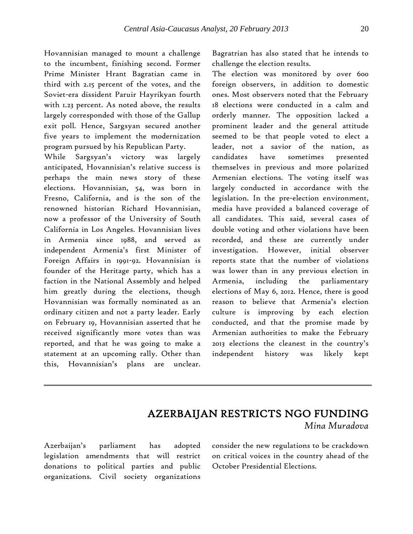Hovannisian managed to mount a challenge to the incumbent, finishing second. Former Prime Minister Hrant Bagratian came in third with 2.15 percent of the votes, and the Soviet-era dissident Paruir Hayrikyan fourth with 1.23 percent. As noted above, the results largely corresponded with those of the Gallup exit poll. Hence, Sargsyan secured another five years to implement the modernization program pursued by his Republican Party.

While Sargsyan's victory was largely anticipated, Hovannisian's relative success is perhaps the main news story of these elections. Hovannisian, 54, was born in Fresno, California, and is the son of the renowned historian Richard Hovannisian, now a professor of the University of South California in Los Angeles. Hovannisian lives in Armenia since 1988, and served as independent Armenia's first Minister of Foreign Affairs in 1991-92. Hovannisian is founder of the Heritage party, which has a faction in the National Assembly and helped him greatly during the elections, though Hovannisian was formally nominated as an ordinary citizen and not a party leader. Early on February 19, Hovannisian asserted that he received significantly more votes than was reported, and that he was going to make a statement at an upcoming rally. Other than this, Hovannisian's plans are unclear.

Bagratrian has also stated that he intends to challenge the election results.

The election was monitored by over 600 foreign observers, in addition to domestic ones. Most observers noted that the February 18 elections were conducted in a calm and orderly manner. The opposition lacked a prominent leader and the general attitude seemed to be that people voted to elect a leader, not a savior of the nation, as candidates have sometimes presented themselves in previous and more polarized Armenian elections. The voting itself was largely conducted in accordance with the legislation. In the pre-election environment, media have provided a balanced coverage of all candidates. This said, several cases of double voting and other violations have been recorded, and these are currently under investigation. However, initial observer reports state that the number of violations was lower than in any previous election in Armenia, including the parliamentary elections of May 6, 2012. Hence, there is good reason to believe that Armenia's election culture is improving by each election conducted, and that the promise made by Armenian authorities to make the February 2013 elections the cleanest in the country's independent history was likely kept

# AZERBAIJAN RESTRICTS NGO FUNDING

*Mina Muradova*

Azerbaijan's parliament has adopted legislation amendments that will restrict donations to political parties and public organizations. Civil society organizations

consider the new regulations to be crackdown on critical voices in the country ahead of the October Presidential Elections.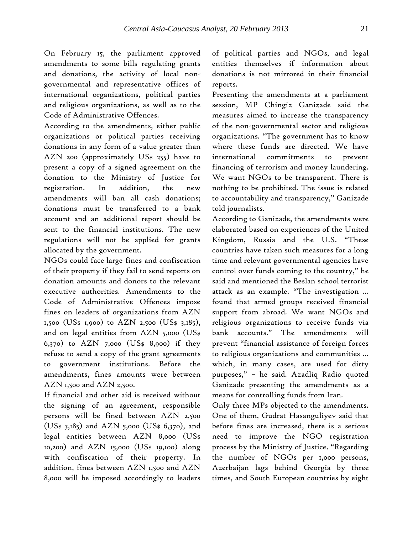On February 15, the parliament approved amendments to some bills regulating grants and donations, the activity of local nongovernmental and representative offices of international organizations, political parties and religious organizations, as well as to the Code of Administrative Offences.

According to the amendments, either public organizations or political parties receiving donations in any form of a value greater than AZN 200 (approximately US\$ 255) have to present a copy of a signed agreement on the donation to the Ministry of Justice for registration. In addition, the new amendments will ban all cash donations; donations must be transferred to a bank account and an additional report should be sent to the financial institutions. The new regulations will not be applied for grants allocated by the government.

NGOs could face large fines and confiscation of their property if they fail to send reports on donation amounts and donors to the relevant executive authorities. Amendments to the Code of Administrative Offences impose fines on leaders of organizations from AZN 1,500 (US\$ 1,900) to AZN 2,500 (US\$ 3,185), and on legal entities from AZN 5,000 (US\$  $(6,370)$  to  $AZN$  7,000 (US\$ 8,900) if they refuse to send a copy of the grant agreements to government institutions. Before the amendments, fines amounts were between AZN 1,500 and AZN 2,500.

If financial and other aid is received without the signing of an agreement, responsible persons will be fined between AZN 2,500  $(US$ 3,185)$  and AZN 5,000 (US\$ 6,370), and legal entities between AZN 8,000 (US\$ 10,200) and AZN 15,000 (US\$ 19,100) along with confiscation of their property. In addition, fines between AZN 1,500 and AZN 8,000 will be imposed accordingly to leaders of political parties and NGOs, and legal entities themselves if information about donations is not mirrored in their financial reports.

Presenting the amendments at a parliament session, MP Chingiz Ganizade said the measures aimed to increase the transparency of the non-governmental sector and religious organizations. "The government has to know where these funds are directed. We have international commitments to prevent financing of terrorism and money laundering. We want NGOs to be transparent. There is nothing to be prohibited. The issue is related to accountability and transparency," Ganizade told journalists.

According to Ganizade, the amendments were elaborated based on experiences of the United Kingdom, Russia and the U.S. "These countries have taken such measures for a long time and relevant governmental agencies have control over funds coming to the country," he said and mentioned the Beslan school terrorist attack as an example. "The investigation ... found that armed groups received financial support from abroad. We want NGOs and religious organizations to receive funds via bank accounts." The amendments will prevent "financial assistance of foreign forces to religious organizations and communities ... which, in many cases, are used for dirty purposes," – he said. Azadliq Radio quoted Ganizade presenting the amendments as a means for controlling funds from Iran.

Only three MPs objected to the amendments. One of them, Gudrat Hasanguliyev said that before fines are increased, there is a serious need to improve the NGO registration process by the Ministry of Justice. "Regarding the number of NGOs per 1,000 persons, Azerbaijan lags behind Georgia by three times, and South European countries by eight